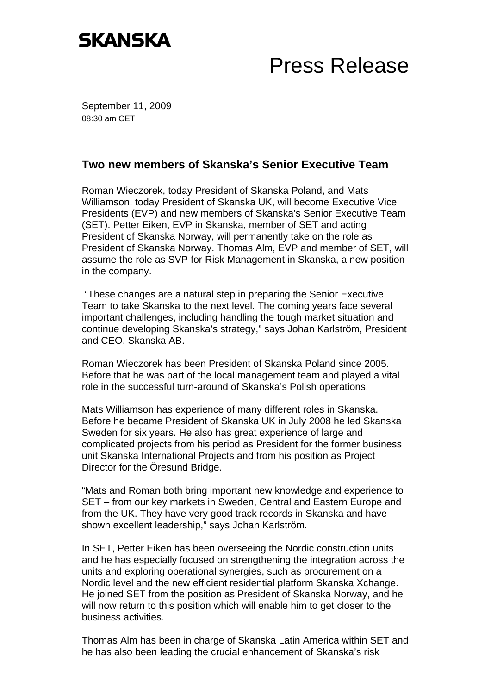## **SKANSKA**

## Press Release

September 11, 2009 08:30 am CET

## **Two new members of Skanska's Senior Executive Team**

Roman Wieczorek, today President of Skanska Poland, and Mats Williamson, today President of Skanska UK, will become Executive Vice Presidents (EVP) and new members of Skanska's Senior Executive Team (SET). Petter Eiken, EVP in Skanska, member of SET and acting President of Skanska Norway, will permanently take on the role as President of Skanska Norway. Thomas Alm, EVP and member of SET, will assume the role as SVP for Risk Management in Skanska, a new position in the company.

 "These changes are a natural step in preparing the Senior Executive Team to take Skanska to the next level. The coming years face several important challenges, including handling the tough market situation and continue developing Skanska's strategy," says Johan Karlström, President and CEO, Skanska AB.

Roman Wieczorek has been President of Skanska Poland since 2005. Before that he was part of the local management team and played a vital role in the successful turn-around of Skanska's Polish operations.

Mats Williamson has experience of many different roles in Skanska. Before he became President of Skanska UK in July 2008 he led Skanska Sweden for six years. He also has great experience of large and complicated projects from his period as President for the former business unit Skanska International Projects and from his position as Project Director for the Öresund Bridge.

"Mats and Roman both bring important new knowledge and experience to SET – from our key markets in Sweden, Central and Eastern Europe and from the UK. They have very good track records in Skanska and have shown excellent leadership," says Johan Karlström.

In SET, Petter Eiken has been overseeing the Nordic construction units and he has especially focused on strengthening the integration across the units and exploring operational synergies, such as procurement on a Nordic level and the new efficient residential platform Skanska Xchange. He joined SET from the position as President of Skanska Norway, and he will now return to this position which will enable him to get closer to the business activities.

Thomas Alm has been in charge of Skanska Latin America within SET and he has also been leading the crucial enhancement of Skanska's risk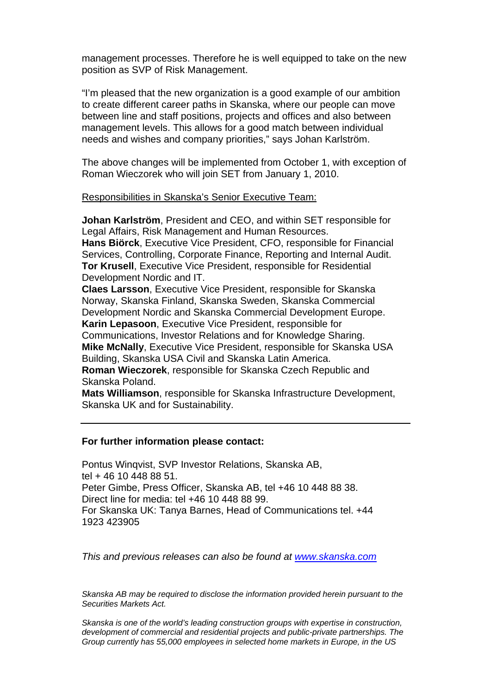management processes. Therefore he is well equipped to take on the new position as SVP of Risk Management.

"I'm pleased that the new organization is a good example of our ambition to create different career paths in Skanska, where our people can move between line and staff positions, projects and offices and also between management levels. This allows for a good match between individual needs and wishes and company priorities," says Johan Karlström.

The above changes will be implemented from October 1, with exception of Roman Wieczorek who will join SET from January 1, 2010.

Responsibilities in Skanska's Senior Executive Team:

**Johan Karlström**, President and CEO, and within SET responsible for Legal Affairs, Risk Management and Human Resources. **Hans Biörck**, Executive Vice President, CFO, responsible for Financial Services, Controlling, Corporate Finance, Reporting and Internal Audit. **Tor Krusell**, Executive Vice President, responsible for Residential Development Nordic and IT.

**Claes Larsson**, Executive Vice President, responsible for Skanska Norway, Skanska Finland, Skanska Sweden, Skanska Commercial Development Nordic and Skanska Commercial Development Europe. **Karin Lepasoon**, Executive Vice President, responsible for Communications, Investor Relations and for Knowledge Sharing. **Mike McNally**, Executive Vice President, responsible for Skanska USA Building, Skanska USA Civil and Skanska Latin America. **Roman Wieczorek**, responsible for Skanska Czech Republic and Skanska Poland.

**Mats Williamson**, responsible for Skanska Infrastructure Development, Skanska UK and for Sustainability.

## **For further information please contact:**

Pontus Winqvist, SVP Investor Relations, Skanska AB, tel + 46 10 448 88 51. Peter Gimbe, Press Officer, Skanska AB, tel +46 10 448 88 38. Direct line for media: tel +46 10 448 88 99. For Skanska UK: Tanya Barnes, Head of Communications tel. +44 1923 423905

*This and previous releases can also be found at www.skanska.com*

*Skanska AB may be required to disclose the information provided herein pursuant to the Securities Markets Act.* 

*Skanska is one of the world's leading construction groups with expertise in construction, development of commercial and residential projects and public-private partnerships. The Group currently has 55,000 employees in selected home markets in Europe, in the US*